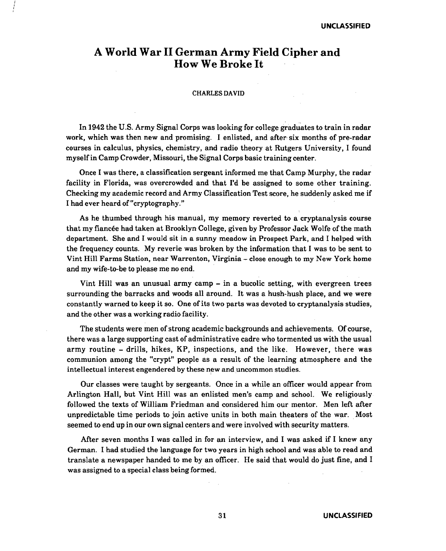# **A World War II German Army Field Cipher and How We Broke It**

i I I

### CHARLES DAVID

In 1942 the U.S. Army Signal Corps was looking for college graduates to train in radar work, which was then new and promising. I enlisted, and after six months of pre-radar courses in calculus, physics, chemistry, and radio theory at Rutgers University, I found myself in Camp Crowder, Missouri, the Signal Corps basic training center.

Once I was there, a classification sergeant informed me that Camp Murphy, the radar facility in Florida, was overcrowded and that I'd be assigned to some other training. Checking my academic record and Army Classification Test score, he suddenly asked me if I had ever heard of "cryptography."

As he thumbed through his manual, my memory reverted to a cryptanalysis course that my fiancee had taken at Brooklyn College, given by Professor Jack Wolfe of the math department. She and I would sit in a sunny meadow in Prospect Park, and I helped with the frequency counts. My reverie was broken by the information that I was to be sent to Vint Hill Farms Station, near Warrenton, Virginia - close enough to my New York home and my wife-to-be to please me no end.

Vint Hill was an unusual army camp - in a bucolic setting, with evergreen trees surrounding the barracks and woods all around. It was a hush-hush place, and we were constantly warned to keep it so. One of its two parts was devoted to cryptanalysis studies, and the other was a working radio facility.

The students were men of strong academic backgrounds and achievements. Of course, there was a large supporting cast of administrative cadre who tormented us with the usual army routine - drills, hikes, KP, inspections, and the like. However, there was communion among the "crypt" people as a result of the learning atmosphere and the intellectual interest engendered by these new and uncommon studies.

Our classes were taught by sergeants. Once in a while an officer would appear from Arlington Hall, but Vint Hill was an enlisted men's camp and school. We religiously followed the texts of William Friedman and considered him our mentor. Men left after unpredictable time periods to join active units in both main theaters of the war. Most seemed to end up in our own signal centers and were involved with security matters.

After seven months I was called in for an interview, and I was asked if I knew any German. I had studied the language for two years in high school and was able to read and translate a newspaper handed to me by an officer. He said that would do just fine, and I was assigned to a special class being formed.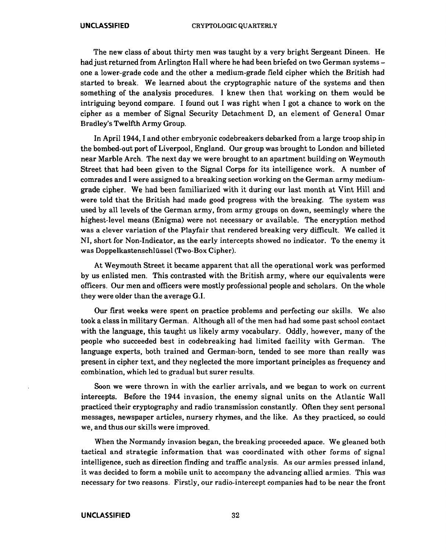The new class of about thirty men was taught by a very bright Sergeant Dineen. He had just returned from Arlington Hall where he had been briefed on two German systems one a lower-grade code and the other a medium-grade field cipher which the British had started to break. We learned about the cryptographic nature of the systems and then something of the analysis procedures. I knew then that working on them would be intriguing beyond compare. I found out I was right when I got a chance to work on the cipher as a member of Signal Security Detachment D, an element of General Omar Bradley's Twelfth Army Group.

In April 1944, I and other embryonic codebreakers debarked from a large troop ship in the bombed-out port of Liverpool, England. Our group was brought to London and billeted near Marble Arch. The next day we were brought to an apartment building on Weymouth Street that had been given to the Signal Corps for its intelligence work. A number of comrades and I were assigned to a breaking section working on the German army mediumgrade cipher. We had been familiarized with it during our last month at Vint Hill and were told that the British had made good progress with the breaking. The system was used by all levels of the German army, from army groups on down, seemingly where the highest-level means (Enigma) were not necessary or available. The encryption method was a clever variation of the Playfair that rendered breaking very difficult. We called it NI, short for Non-Indicator, as the early intercepts showed no indicator. To the enemy it was Doppelkastenschliissel (Two-Box Cipher).

At Weymouth Street it became apparent that all the operational work was performed by us enlisted men. This contrasted with the British army, where our equivalents were officers. Our men and officers were mostly professional people and scholars. On the whole they were older than the average G.I.

Our first weeks were spent on practice problems and perfecting our skills. We also took a class in military German. Although all of the men had had some past school contact with the language, this taught us likely army vocabulary. Oddly, however, many of the people who succeeded best in codebreaking had limited facility with German. The language experts, both trained and German-born, tended to see more than really was present in cipher text, and they neglected the more important principles as frequency and combination, which led to gradual but surer results.

Soon we were thrown in with the earlier arrivals, and we began to work on current intercepts. Before the 1944 invasion, the enemy signal units on the Atlantic Wall practiced their cryptography and radio transmission constantly. Often they sent personal messages, newspaper articles, nursery rhymes, and the like. As they practiced, so could we, and thus our skills were improved.

When the Normandy invasion began, the breaking proceeded apace. We gleaned both tactical and strategic information that was coordinated with other forms of signal intelligence, such as direction finding and traffic analysis. As our armies pressed inland, it was decided to form a mobile unit to accompany the advancing allied armies. This was necessary for two reasons. Firstly, our radio-intercept companies had to be near the front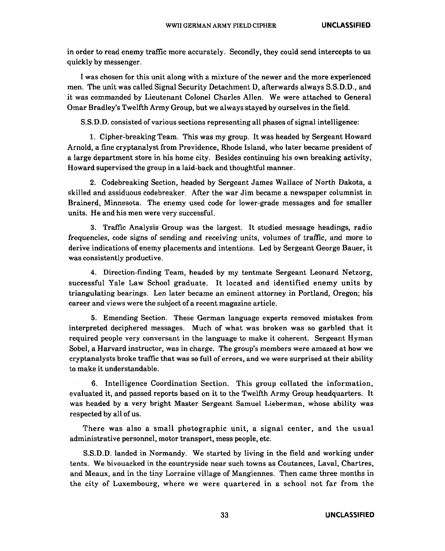in order to read enemy traffic more accurately. Secondly, they could send intercepts to us quickly by messenger.

I was chosen for this unit along with a mixture of the newer and the more experienced men. The unit was called Signal Security Detachment D, afterwards always S.S.D.D., and it was commanded by Lieutenant Colonel Charles Allen. We were attached to General Omar Bradley's Twelfth Army Group, but we always stayed by ourselves in the field.

S.S.D.D. consisted of various sections representing all phases of signal intelligence:

1. Cipher-breaking Team. This was my group. It was headed by Sergeant Howard Arnold, a fine cryptanalyst from Providence, Rhode Island, who later became president of a large department store in his home city. Besides continuing his own breaking activity, Howard supervised the group in a laid-back and thoughtful manner.

2. Codebreaking Section, headed by Sergeant James Wallace of North Dakota, a skilled and assiduous codebreaker. After the war Jim became a newspaper columnist in Brainerd, Minnesota. The enemy used code for lower-grade messages and for smaller units. He and his men were very successful.

3. Traffic Analysis Group was the largest. It studied message headings, radio frequencies, code signs of sending and receiving units, volumes of traffic, and more to derive indications of enemy placements and intentions. Led by Sergeant George Bauer, it was consistently productive.

4. Direction-finding Team, headed by my tentmate Sergeant Leonard Netzorg, successful Yale Law School graduate. It located and identified enemy units by triangulating bearings. Len later became an eminent attorney in Portland, Oregon; his career and views were the subject of a recent magazine article.

5. Emending Section. These German language experts removed mistakes from interpreted deciphered messages. Much of what was broken was so garbled that it required people very conversant in the language to make it coherent. Sergeant Hyman Sobel, a Harvard instructor, was in charge. The group's members were amazed at how we cryptanalysts broke traffic that was so full of errors, and we were surprised at their ability to make it understandable.

6. Intelligence Coordination Section. This group collated the information, evaluated it, and passed reports based on it to the Twelfth Army Group headquarters. It was headed by a very bright Master Sergeant Samuel Lieberman, whose ability was respected by all of us.

There was also a small photographic unit, a signal center, and the usual administrative personnel, motor transport, mess people, etc.

S.S.D.D. landed in Normandy. We started by living in the field and working under tents. We bivouacked in the countryside near such towns as Coutances, Laval, Chartres, and Meaux, and in the tiny Lorraine village of Mangiennes. Then came three months in the city of Luxembourg, where we were quartered in a school not far from the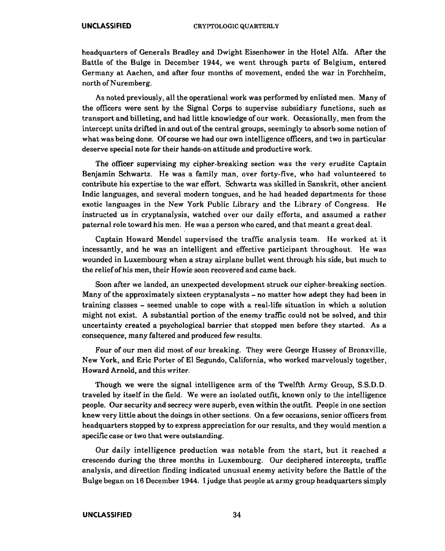headquarters of Generals Bradley and Dwight Eisenhower in the Hotel Alfa. After the Battle of the Bulge in December 1944, we went through parts of Belgium, entered Germany at Aachen, and after four months of movement, ended the war in Forchheim, north of Nuremberg.

As noted previously, all the operational work was performed by enlisted men. Many of the officers were sent by the Signal Corps to supervise subsidiary functions, such as transport and billeting, and had little knowledge of our work. Occasionally, men from the intercept units drifted in and out of the central groups, seemingly to absorb some notion of what was being done. Of course we had our own intelligence officers, and two in particular deserve special note for their hands-on attitude and productive work.

The officer supervising my cipher-breaking section was the very erudite Captain Benjamin Schwartz. He was a family man, over forty-five, who had volunteered to contribute his expertise to the war effort. Schwartz was skilled in Sanskrit, other ancient Indic languages, and several modern tongues, and he had headed departments for those exotic languages in the New York Public Library and the Library of Congress. He instructed us in cryptanalysis, watched over our daily efforts, and assumed a rather paternal role toward his men. He was a person who cared, and that meant a great deal.

Captain Howard Mendel supervised the traffic analysis team. He worked at it incessantly, and he was an intelligent and effective participant throughout. He was wounded in Luxembourg when a stray airplane bullet went through his side, but much to the relief of his men, their Howie soon recovered and came back.

Soon after we landed, an unexpected development struck our cipher-breaking section. Many of the approximately sixteen cryptanalysts – no matter how adept they had been in training classes - seemed unable to cope with a real-life situation in which a solution might not exist. A substantial portion of the enemy traffic could not be solved, and this uncertainty created a psychological barrier that stopped men before they started. As a consequence, many faltered and produced few results.

Four of our men did most of our breaking. They were George Hussey of Bronxville, New York, and Eric Porter of El Segundo, California, who worked marvelously together, Howard Arnold, and this writer.

Though we were the signal intelligence arm of the Twelfth Army Group, S.S.D.D. traveled by itself in the field. We were an isolated outfit, known only to the intelligence people. Our security and secrecy were superb, even within the outfit. People in one section knew very little about the doings in other sections. On a few occasions, senior officers from headquarters stopped by to express appreciation for our results, and they would mention a specific case or two that were outstanding.

Our daily intelligence production was notable from the start, but it reached a crescendo during the three months in Luxembourg. Our deciphered intercepts, traffic analysis, and direction finding indicated unusual enemy activity before the Battle of the Bulge began on 16 December 1944. I judge that people at army group headquarters simply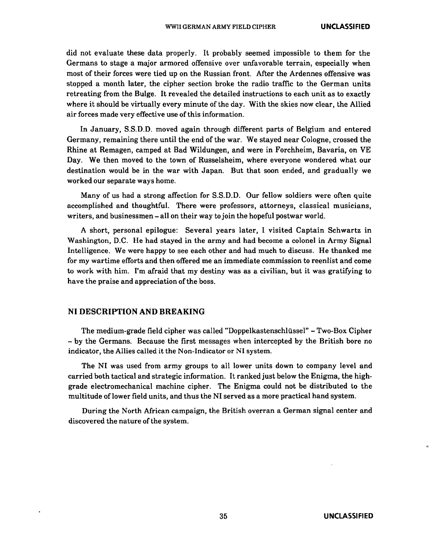did not evaluate these data properly. It probably seemed impossible to them for the Germans to stage a major armored offensive over unfavorable terrain, especially when most of their forces were tied up on the Russian front. After the Ardennes offensive was stopped a month later, the cipher section broke the radio traffic to the German units retreating from the Bulge. It revealed the detailed instructions to each unit as to exactly where it should be virtually every minute of the day. With the skies now clear, the Allied air forces made very effective use of this information.

In January, S.S.D.D. moved again through different parts of Belgium and entered Germany, remaining there until the end of the war. We stayed near Cologne, crossed the Rhine at Remagen, camped at Bad Wildungen, and were in Forchheim, Bavaria, on VE Day. We then moved to the town of Russelsheim, where everyone wondered what our destination would be in the war with Japan. But that soon ended, and gradually we worked our separate ways home.

Many of us had a strong affection for S.S.D.D. Our fellow soldiers were often quite accomplished and thoughtful. There were professors, attorneys, classical musicians, writers, and businessmen-all on their way to join the hopeful postwar world.

A short, personal epilogue: Several years later, I visited Captain Schwartz in Washington, D.C. He had stayed in the army and had become a colonel in Army Signal Intelligence. We were happy to see each other and had much to discuss. He thanked me for my wartime efforts and then offered me an immediate commission to reenlist and come to work with him. I'm afraid that my destiny was as a civilian, but it was gratifying to have the praise and appreciation of the boss.

# **NI DESCRIPTION AND BREAKING**

The medium-grade field cipher was called "Doppelkastenschlüssel" - Two-Box Cipher - by the Germans. Because the first messages when intercepted by the British bore no indicator, the Allies called it the Non-Indicator or NI system.

The NI was used from army groups to all lower units down to company level and carried both tactical and strategic information. It ranked just below the Enigma, the highgrade electromechanical machine cipher. The Enigma could not be distributed to the multitude oflower field units, and thus the NI served as a more practical hand system.

During the North African campaign, the British overran a German signal center and discovered the nature of the system.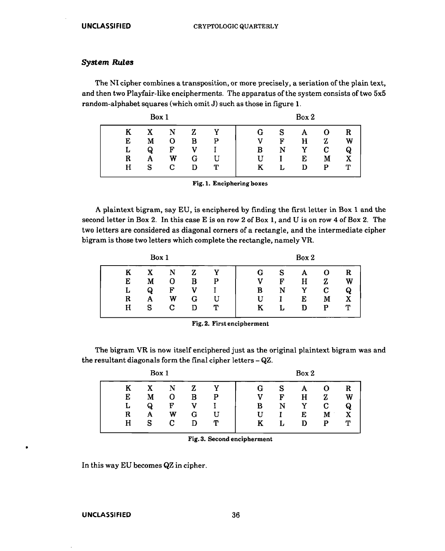# System Rules

The NI cipher combines a transposition, or more precisely, a seriation of the plain text, and then two Playfair-like encipherments. The apparatus of the system consists of two 5x5 random-alphabet squares (which omit J) such as those in figure 1.

|   | Box 1 |   |   |   |   |    | Box 2 |   |   |
|---|-------|---|---|---|---|----|-------|---|---|
| K | X     | N | z |   | G |    | А     | 0 | R |
| E | М     | О | в | P |   | Ħ  | н     | z | W |
| Ŀ | Q     | F |   |   | В | N  | Y     | C | Q |
| R | Α     | W | G | U | U |    | E     | М | X |
| н | s     | С | ח | Т | K | ι. |       | р | T |

Fig. 1. Enciphering boxes

A plaintext bigram, say EU, is enciphered by finding the first letter in Box 1 and the second letter in Box 2. In this case E is on row 2 of Box 1, and U is on row 4 of Box 2. The two letters are considered as diagonal corners of a rectangle, and the intermediate cipher bigram is those two letters which complete the rectangle, namely VR.

|   | Box 1 |              |   |   |   |   | Box 2 |   |   |
|---|-------|--------------|---|---|---|---|-------|---|---|
| K | X     | N            | z | v | G | S | А     |   | R |
| E | M     | О            | B | P |   | F | H     | Z | W |
| L | Q     | $\mathbf{F}$ |   |   | в | N | Y     | C | Q |
| R | А     | W            | G | U | U |   | E     | M |   |
| н | s     | С            |   | ጥ | ĸ | L | D     | P | т |
|   |       |              |   |   |   |   |       |   |   |

Fig. 2. First encipherment

The bigram VR is now itself enciphered just as the original plaintext bigram was and the resultant diagonals form the final cipher letters - QZ.

|             | Box 1            |             |        |             |             |             | Box 2            |             |                  |
|-------------|------------------|-------------|--------|-------------|-------------|-------------|------------------|-------------|------------------|
| E<br>L<br>R | X<br>м<br>Q<br>А | N<br>F<br>W | В<br>G | v<br>P<br>Ħ | 6<br>в<br>U | S<br>F<br>N | А<br>Н<br>v<br>E | Z<br>С<br>M | R<br>W<br>Q<br>X |
| н           | S                | C.          | D      | Т           | ĸ           | Ŀ           | D                | P           | ጥ                |

Fig. 3. Second encipherment

In this way EU becomes QZ in cipher.

### UNCLASSIFIED 36

•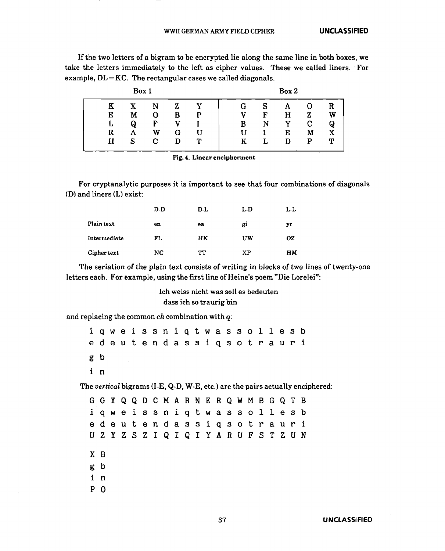If the two letters of a bigram to be encrypted lie along the same line in both boxes, we take the letters immediately to the left as cipher values. These we called liners. ·For example,  $DL = KC$ . The rectangular cases we called diagonals.

|    | Box 1 |   |   |   |   |   | Box 2 |   |   |
|----|-------|---|---|---|---|---|-------|---|---|
| Κ  | X     | N | Z |   | G | S | А     | U | R |
| E  | М     | О | в | P | v | F | н     | Z | W |
| L. | Q     | F |   |   | В | N | Y     | C | Q |
| R  | Α     | W | G | U | H |   | E     | М | х |
| н  | S     | С | ח | Т | Κ |   | D     | P | ጥ |
|    |       |   |   |   |   |   |       |   |   |

Fig. 4. Linear encipherment

For cryptanalytic purposes it is important to see that four combinations of diagonals (D) and liners (L) exist:

|              | D-D | D-L       | L-D | L-L |
|--------------|-----|-----------|-----|-----|
| Plain text   | en  | ea        | gi  | yr  |
| Intermediate | FL  | <b>HK</b> | UW  | ΟZ  |
| Cipher text  | NC  | TT        | XP  | HМ  |

The seriation of the plain text consists of writing in blocks of two lines of twenty-one letters each. For example, using the first line of Heine's poem "Die Lorelei":

> Ich weiss nicht was soll es bedeuten dass ich so traurig bin

and replacing the common *ch* combination with q:

|     |     |  |  | qweissniqtwassollesb                      |  |  |  |  |     |   |   |                                                                               |
|-----|-----|--|--|-------------------------------------------|--|--|--|--|-----|---|---|-------------------------------------------------------------------------------|
|     |     |  |  | e de utendassiq sotrauri                  |  |  |  |  |     |   |   |                                                                               |
| g b |     |  |  |                                           |  |  |  |  |     |   |   |                                                                               |
| i n |     |  |  |                                           |  |  |  |  |     |   |   |                                                                               |
|     |     |  |  |                                           |  |  |  |  |     |   |   | The vertical bigrams (I-E, Q-D, W-E, etc.) are the pairs actually enciphered: |
|     |     |  |  | G G Y Q Q D C M A R N E R Q W M B G Q T B |  |  |  |  |     |   |   |                                                                               |
| i   |     |  |  | qweissniqtwassollesb                      |  |  |  |  |     |   |   |                                                                               |
|     |     |  |  | e deutendassiqs otrauri                   |  |  |  |  |     |   |   |                                                                               |
|     |     |  |  | U Z Y Z S Z I Q I Q I Y A R U F           |  |  |  |  | S T | Z | U | - N                                                                           |
|     | X B |  |  |                                           |  |  |  |  |     |   |   |                                                                               |
|     | g b |  |  |                                           |  |  |  |  |     |   |   |                                                                               |
| i   | n   |  |  |                                           |  |  |  |  |     |   |   |                                                                               |
| P   | 0   |  |  |                                           |  |  |  |  |     |   |   |                                                                               |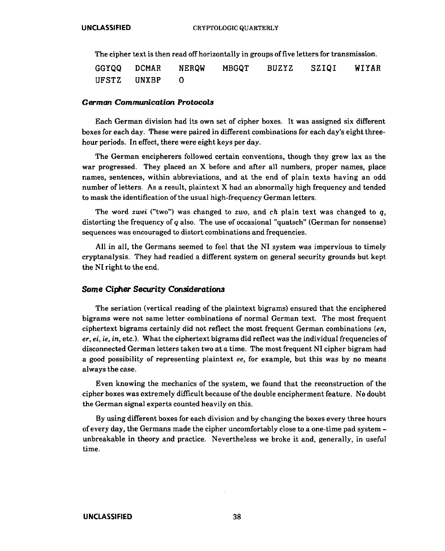The cipher text is then read off horizontally in groups of five letters for transmission.

GGYQQ UFSTZ **DCMAR** UNXBP NERQW 0 MBGQT BUZYZ SZIQI WIYAR

## **German Communication Protocols**

Each German division had its own set of cipher boxes. It was assigned six different boxes for each day. These were paired in different combinations for each day's eight threehour periods. In effect, there were eight keys per day.

The German encipherers followed certain conventions, though they grew lax as the war progressed. They placed an X before and after all numbers, proper names, place names, sentences, within abbreviations, and at the end of plain texts having an odd number of letters. As a result, plaintext X had an abnormally high frequency and tended to mask the identification of the usual high-frequency German letters.

The word *zwei* ("two") was changed to *zwo,* and *ch* plain text was changed to *q,*  distorting the frequency of *q* also. The use of occasional "quatsch" (German for nonsense) sequences was encouraged to distort combinations and frequencies.

All in all, the Germans seemed to feel that the NI system was impervious to timely cryptanalysis. They had readied a different system on general security grounds but kept the NI right to the end.

# **Some Cipher Security Considerations**

The seriation (vertical reading of the plaintext bigrams) ensured that the enciphered bigrams were not same letter combinations of normal German text. The most frequent ciphertext bigrams certainly did not reflect the most frequent German combinations (en, *er, ei, ie, in,* etc.). What the ciphertext bigrams did reflect was the individual frequencies of disconnected German letters taken two at a time. The most frequent NI cipher bigram had a good possibility of representing plaintext *ee,* for example, but this was by no means always the case.

Even knowing the mechanics of the system, we found that the reconstruction of the cipher boxes was extremely difficult because of the double encipherment feature. No doubt the German signal experts counted heavily on this.

By using different boxes for each division and by changing the boxes every three hours of every day, the Germans made the cipher uncomfortably close to a one-time pad system unbreakable in theory and practice. Nevertheless we broke it and, generally, in useful time.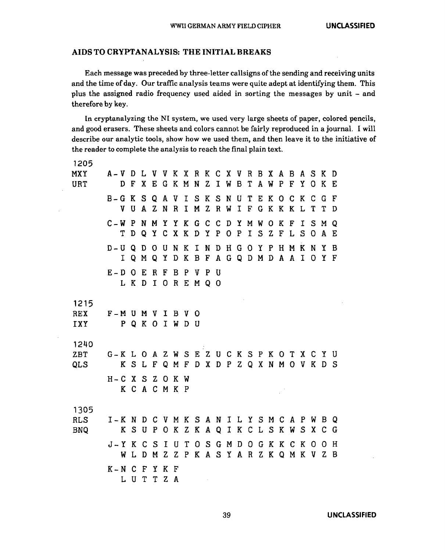# AIDS TO CRYPTANALYSIS: THE INITIAL BREAKS

Each message was preceded by three-letter callsigns of the sending and receiving units and the time of day. Our traffic analysis teams were quite adept at identifying them. This plus the assigned radio frequency used aided in sorting the messages by unit - and therefore by key.

In cryptanalyzing the NI system, we used very large sheets of paper, colored pencils, and good erasers. These sheets and colors cannot be fairly reproduced in a journal. I will describe our analytic tools, show how we used them, and then leave it to the initiative of the reader to complete the analysis to reach the final plain text.

| 1205       |                         |       |     |     |               |              |              |                                       |                               |            |             |           |             |             |         |              |             |              |              |         |     |
|------------|-------------------------|-------|-----|-----|---------------|--------------|--------------|---------------------------------------|-------------------------------|------------|-------------|-----------|-------------|-------------|---------|--------------|-------------|--------------|--------------|---------|-----|
| MXY        | $A - V$ D               |       |     |     |               |              |              | L V V K X R K C X V R B X A B A S K D |                               |            |             |           |             |             |         |              |             |              |              |         |     |
| URT        |                         | D.    | F   | X   |               |              |              | EGKMN                                 |                               | Z          | $\mathbf I$ | W         | $\mathbf B$ | $\mathbf T$ | A W     | $\mathbf{P}$ | $\mathbf F$ | Y O          |              | K E     |     |
|            | $B-G K S Q$             |       |     |     |               |              | A V          |                                       | ISKSN                         |            |             |           |             | $U$ $T$     |         |              | EKOCK       |              | $\mathbf{C}$ | G.      | - F |
|            |                         | V     | U   | A Z |               | N            | $\mathbf{R}$ |                                       | I M Z R                       |            |             | W         | $\mathbf I$ | F           | G K K K |              |             | L            | T            | Т       | D   |
|            | $C-W$ $P$ $N$           |       |     |     | M             |              |              | Y Y K G C C D Y M W O                 |                               |            |             |           |             |             |         | K            | $\mathbf F$ | I.           |              | S M Q   |     |
|            |                         | Т     | D   | Q   | $\mathbf{Y}$  |              | C X K        |                                       | D Y P                         |            |             | O P       |             |             |         |              | ISZFLS      |              |              | OAE     |     |
|            | $D-UQD$                 |       |     |     | OUNK          |              |              |                                       | INDH                          |            |             |           |             | GOYPHM      |         |              |             | $\mathbf{K}$ | N            | Y B     |     |
|            |                         | $I$ Q |     | M   | Q Y           |              | D K          |                                       | B F A G Q D M D A A I         |            |             |           |             |             |         |              |             |              |              | OYF     |     |
|            | $E - D O E$             |       |     |     | <b>RFBP</b>   |              |              |                                       | V P U                         |            |             |           |             |             |         |              |             |              |              |         |     |
|            |                         |       |     |     |               |              |              | L K D I O R E M Q O                   |                               |            |             |           |             |             |         |              |             |              |              |         |     |
|            |                         |       |     |     |               |              |              |                                       |                               |            |             |           |             |             |         |              |             |              |              |         |     |
| 1215       |                         |       |     |     |               |              |              |                                       |                               |            |             |           |             |             |         |              |             |              |              |         |     |
| REX        | $F-M$ U M V             |       |     |     |               | I            |              | B V O                                 |                               |            |             |           |             |             |         |              |             |              |              |         |     |
| <b>IXY</b> | P Q K O I W D U         |       |     |     |               |              |              |                                       |                               |            |             |           |             |             |         |              |             |              |              |         |     |
| 1240       |                         |       |     |     |               |              |              |                                       |                               |            |             |           |             |             |         |              |             |              |              |         |     |
| ZBT        | G-KLOAZWSEZUCKSPKOTXCYU |       |     |     |               |              |              |                                       |                               |            |             |           |             |             |         |              |             |              |              |         |     |
| <b>QLS</b> |                         |       |     |     | KSLF          |              |              | Q M F D X D P Z Q X N M O V K D S     |                               |            |             |           |             |             |         |              |             |              |              |         |     |
|            | $H-C X S Z O K W$       |       |     |     |               |              |              |                                       |                               |            |             |           |             |             |         |              |             |              |              |         |     |
|            |                         |       |     |     | K C A C M K P |              |              |                                       |                               |            |             |           |             |             |         |              |             |              |              |         |     |
|            |                         |       |     |     |               |              |              |                                       |                               |            |             |           |             |             |         |              |             |              |              |         |     |
| 1305       |                         |       |     |     |               |              |              |                                       |                               |            |             |           |             |             |         |              |             |              |              |         |     |
| RLS        | I-KNDCVMKSANILYSMCAPWBQ |       |     |     |               |              |              |                                       |                               |            |             |           |             |             |         |              |             |              |              |         |     |
| <b>BNQ</b> |                         |       | K S | U   | P             |              |              | OKZKAQIKCLSKW                         |                               |            |             |           |             |             |         |              |             |              |              | S X C G |     |
|            | $J - Y K C$             |       |     |     | $S$ I         |              | U            | T                                     |                               |            |             | O S G M D |             |             |         |              | OGKKCK      |              | 0            | 0 H     |     |
|            |                         | W     | L   | D   | M             | Z            | Z            |                                       | P K A S Y A R Z K Q M K V Z B |            |             |           |             |             |         |              |             |              |              |         |     |
|            | $K - N$ $C$ $F$         |       |     |     | Y             | $\mathbf{K}$ | F            |                                       |                               |            |             |           |             |             |         |              |             |              |              |         |     |
|            |                         |       |     | LUT |               | T Z A        |              |                                       |                               | $\sim 100$ |             |           |             |             |         |              |             |              |              |         |     |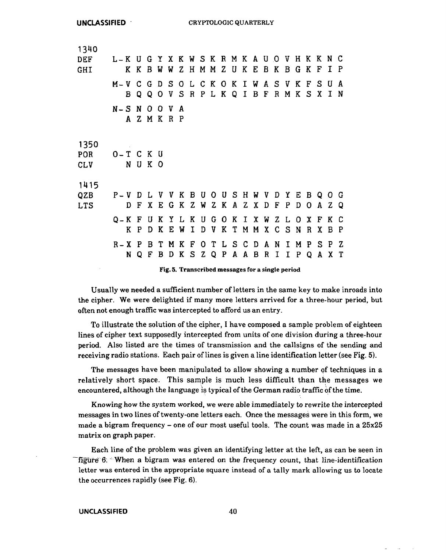| 1340       |                  |             |                |              |                     |        |              |              |         |   |           |     |              |                           |                         |             |              |              |          |             |     |
|------------|------------------|-------------|----------------|--------------|---------------------|--------|--------------|--------------|---------|---|-----------|-----|--------------|---------------------------|-------------------------|-------------|--------------|--------------|----------|-------------|-----|
| <b>DEF</b> | L-KUGYXKWSKRMKAU |             |                |              |                     |        |              |              |         |   |           |     |              |                           | $\overline{\mathbf{0}}$ | V           | H K          |              | K        | N C         |     |
| GHI        |                  | K K         | B              | W            | W                   | Z.     | H            |              | M M Z U |   |           | K   | E            | B K                       |                         | B           | G            | K            | F        | I.          | -P  |
|            | $M - V$          | $C$ $G$     |                |              | D S O L C K O K I W |        |              |              |         |   |           |     |              | $\mathbf{A}$              |                         | SVK         |              | $\mathbf{F}$ | S        | U           | A   |
|            | B                | $\mathbf 0$ | Q              | 0            | V                   | S      | $\mathbf{R}$ |              | PLK     |   | QI        |     | $\mathbf{B}$ | F                         | $\mathbf R$             | M           | K            | -S           | X        | $\mathbf I$ | N   |
|            | $N-S N$          |             | $\overline{0}$ | $\mathbf{O}$ | V                   | A      |              |              |         |   |           |     |              |                           |                         |             |              |              |          |             |     |
|            |                  | A Z M K R P |                |              |                     |        |              |              |         |   |           |     |              |                           |                         |             |              |              |          |             |     |
|            |                  |             |                |              |                     |        |              |              |         |   |           |     |              |                           |                         |             |              |              |          |             |     |
| 1350       |                  |             |                |              |                     |        |              |              |         |   |           |     |              |                           |                         |             |              |              |          |             |     |
| POR        | O-TCKU           |             |                |              |                     |        |              |              |         |   |           |     |              |                           |                         |             |              |              |          |             |     |
| <b>CLV</b> |                  | N U K O     |                |              |                     |        |              |              |         |   |           |     |              |                           |                         |             |              |              |          |             |     |
| 1415       |                  |             |                |              |                     |        |              |              |         |   |           |     |              |                           |                         |             |              |              |          |             |     |
| <b>QZB</b> | $P - V$          | D           | L              | V            | V                   | K      | B            |              |         |   | U O U S H |     | W            | $\boldsymbol{\mathrm{V}}$ | D                       | Y           | Е            | B            | $\Omega$ | -0          | G   |
| <b>LTS</b> | D.               | F           | X.             | Е            | G                   | K      | Z            | W            |         |   | Z K A Z X |     |              | D                         | $\mathbf F$             | P           | D            | 0            | A        | Z           | - 0 |
|            |                  |             |                |              |                     |        |              |              |         |   |           |     |              |                           |                         |             |              |              |          |             |     |
|            | Q – K<br>K.      | F<br>P      | U<br>D         | K<br>K       | Y<br>E              | L<br>W | K<br>I       | U<br>D       | G<br>V  | K | OKIX<br>T | M   | М            | W<br>X                    | C S                     | ZL.         | - 0<br>N     | X<br>R       | F<br>Χ   | K<br>B      | -C  |
|            |                  |             |                |              |                     |        |              |              |         |   |           |     |              |                           |                         |             |              |              |          |             | P.  |
|            | $R - X P$        |             |                | B T          | M                   | K      | $\mathbf F$  |              |         |   | OTLSCDA   |     |              |                           | N                       |             | I M          | $\mathbf{P}$ |          | S P Z       |     |
|            | N                | Q           | F              | B            | D                   | K      | S            | $\mathbf{z}$ | Q P     |   |           | A A | B            |                           | R I                     | $\mathbf I$ | $\mathbf{P}$ | Q            | A        |             | X T |
|            |                  |             |                |              |                     |        |              |              |         |   |           |     |              |                           |                         |             |              |              |          |             |     |

Fig. 5. Transcribed messages for a single period

Usually we needed a sufficient number ofletters in the same key to make inroads into the cipher. We were delighted if many more letters arrived for a three-hour period, but often not enough traffic was intercepted to afford us an entry.

To illustrate the solution of the cipher, I have composed a sample problem of eighteen lines of cipher text supposedly intercepted from units of one division during a three-hour period. Also listed are the times of transmission and the callsigns of the sending and receiving radio stations. Each pair of lines is given a line identification letter (see Fig. 5).

The messages have been manipulated to allow showing a number of techniques in a relatively short space. This sample is much less difficult than the messages we encountered, although the language is typical of the German radio traffic of the time.

Knowing how the system worked, we were able immediately to rewrite the intercepted messages in two lines of twenty-one letters each. Once the messages were in this form, we made a bigram frequency - one of our most useful tools. The count was made in a 25x25 matrix on graph paper.

Each line of the problem was given an identifying letter at the left, as can be seen in -figure 6;  $\cdot$  When a bigram was entered on the frequency count, that line-identification letter was entered in the appropriate square instead of a tally mark allowing us to locate the occurrences rapidly (see Fig. 6).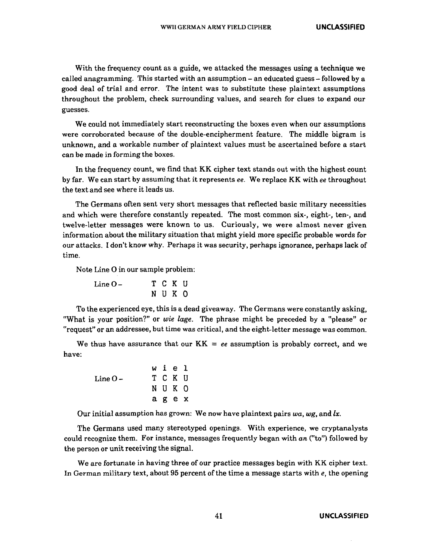With the frequency count as a guide, we attacked the messages using a technique we called anagramming. This started with an assumption - an educated guess - followed by a good deal of trial and error. The intent was to substitute these plaintext assumptions throughout the problem, check surrounding values, and search for clues to expand our guesses.

We could not immediately start reconstructing the boxes even when our assumptions were corroborated because of the double-encipherment feature. The middle bigram is unknown, and a workable number of plaintext values must be ascertained before a start can be made in forming the boxes.

In the frequency count, we find that KK cipher text stands out with the highest count by far. We can start by assuming that it represents *ee.* We replace KK with *ee* throughout the text and see where it leads us.

The Germans often sent very short messages that reflected basic military necessities and which were therefore constantly repeated. The most common six-, eight-, ten-, and twelve-letter messages were known to us. Curiously, we were almost never given information about the military situation that might yield more specific probable words for our attacks. I don't know why. Perhaps it was security, perhaps ignorance, perhaps lack of time.

Note Line 0 in our sample problem:

| Line O – |  | T C K U |  |
|----------|--|---------|--|
|          |  | N U K O |  |

To the experienced eye, this is a dead giveaway. The Germans were constantly asking, "What is your position?" or *wie lage.* The phrase might be preceded by a "please" or "request" or an addressee, but time was critical, and the eight-letter message was common.

We thus have assurance that our  $KK = ee$  assumption is probably correct, and we have:

> LineOw i *e* 1 T C K U N U K 0 a g *e* x

Our initial assumption has grown: We now have plaintext pairs *wa, wg,* and *lx.* 

The Germans used many stereotyped openings. With experience, we cryptanalysts could recognize them. For instance, messages frequently began with  $an$  ("to") followed by the person or unit receiving the signal.

We are fortunate in having three of our practice messages begin with KK cipher text. In German military text, about 95 percent of the time a message starts with  $e$ , the opening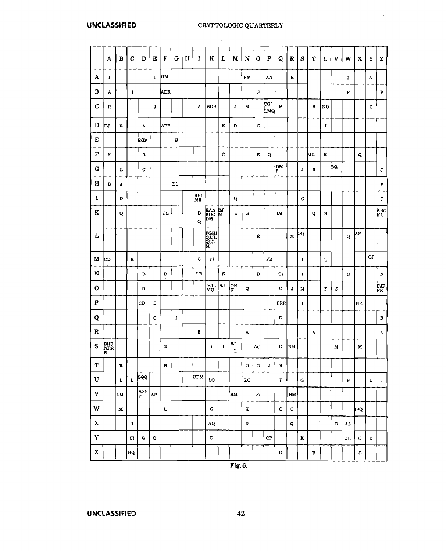# **UNCLASSIFIED** CRYPTOLOGIC QUARTERLY

 $\sim 10^{-1}$ 

 $\mathcal{L}^{\mathcal{A}}$ 

|                           | A                      | B           | $\mathbf C$ | D        | E       | F    | $\bf G$ | $\mathbf H$ | $\mathbf I$ | K                         | L  | M       | N                | 0                      | $\mathbf P$    | Q           | R            | ${\bf S}$    | T           | U  | V  | W           | X         | Y           | Z                    |
|---------------------------|------------------------|-------------|-------------|----------|---------|------|---------|-------------|-------------|---------------------------|----|---------|------------------|------------------------|----------------|-------------|--------------|--------------|-------------|----|----|-------------|-----------|-------------|----------------------|
| A                         | I                      |             |             |          | г       | GМ   |         |             |             |                           |    |         | BМ               |                        | AN             |             | R            |              |             |    |    | I           |           | A           |                      |
| в                         | A                      |             | 1           |          |         | ADR. |         |             |             |                           |    |         |                  | P                      |                |             |              |              |             |    |    | F           |           |             | P                    |
| $\mathbf C$               | R                      |             |             |          | $\bf J$ |      |         |             | A           | BGH                       |    | J       | м                |                        | CGL<br>LМQ     | м           |              |              | в           | кo |    |             |           | c           |                      |
| D                         | DJ                     | R           |             | A        |         | APP  |         |             |             |                           | Е  | D       |                  | с                      |                |             |              |              |             | L  |    |             |           |             |                      |
| E                         |                        |             |             | EGP      |         |      | в       |             |             |                           |    |         |                  |                        |                |             |              |              |             |    |    |             |           |             |                      |
| F                         | ĸ                      |             |             | в        |         |      |         |             |             |                           | c  |         |                  | E                      | Q              |             |              |              | MR          | K  |    |             | Q         |             |                      |
| G                         |                        | L           |             | C        |         |      |         |             |             |                           |    |         |                  |                        |                | DM<br>P     |              | J            | в           |    | BQ |             |           |             | J                    |
| H                         | D                      | J           |             |          |         |      | DL      |             |             |                           |    |         |                  |                        |                |             |              |              |             |    |    |             |           |             | $\boldsymbol{\rm P}$ |
| 1                         |                        | D           |             |          |         |      |         |             | BEI<br>MR   |                           |    | Q       |                  |                        |                |             |              | c            |             |    |    |             |           |             | J                    |
| K                         |                        | Q           |             |          |         | CL   |         |             | D<br>Q      | raa bj<br>boc m<br>dm     |    | г       | G                |                        |                | <b>JM</b>   |              |              | Q           | в  |    |             |           |             | AВC<br>KL            |
| L                         |                        |             |             |          |         |      |         |             |             | M<br>Brit<br>Brit<br>Brit |    |         |                  | R                      |                |             | M            | СQ           |             |    |    | Q           | ሊዮ        |             |                      |
| М                         | CD                     |             | R           |          |         |      |         |             | c           | FI                        |    |         |                  |                        | FR             |             |              | 1            |             | L  |    |             |           | CJ          |                      |
| N                         |                        |             |             | D        |         | D    |         |             | LR.         |                           | к  |         |                  | D                      |                | CI          |              | $\mathbf{I}$ |             |    |    | o           |           |             | $\mathbf N$          |
| 0                         |                        |             |             | D        |         |      |         |             |             | EJL<br>мo                 | BJ | GН<br>N | Q                |                        |                | D           | J            | М            |             | F  | J  |             |           |             | CJP<br>PR            |
| $\mathbf{P}$              |                        |             |             | 'CD      | E       |      |         |             |             |                           |    |         |                  |                        |                | ERR         |              | 1            |             |    |    |             | $_{GR}$   |             |                      |
| Q                         |                        |             |             |          | C       |      | 1       |             |             |                           |    |         |                  |                        |                | D           |              |              |             |    |    |             |           |             | B                    |
| R                         |                        |             |             |          |         |      |         |             | Е           |                           |    |         | A                |                        |                |             |              |              | А           |    |    |             |           |             | L                    |
| S                         | <b>BHJ</b><br>NPR<br>R |             |             |          |         | G    |         |             |             | I                         | I  | BJ<br>L |                  | AC                     |                | G           | BM           |              |             |    | М  |             | М         |             |                      |
| T                         |                        | R           |             |          |         | в    |         |             |             |                           |    |         | $\circ$          | G                      | J              | R           |              |              |             |    |    |             |           |             |                      |
| U                         |                        | $\mathbf L$ | L           | GQQ      |         |      |         |             | <b>BDM</b>  | LO                        |    |         | ${\bf E}{\bf O}$ |                        |                | $\mathbf F$ |              | G            |             |    |    | $\mathbf P$ |           | $\mathbf D$ | ${\bf J}$            |
| $\boldsymbol{\mathrm{V}}$ |                        | LM          |             | AFP<br>P | AP.     |      |         |             |             |                           |    | BM      |                  | $\mathbf{F}\mathbf{I}$ |                |             | ${\bf BM}$   |              |             |    |    |             |           |             |                      |
| $\mathbf W$               |                        | $\mathbf M$ |             |          |         | L    |         |             |             | ${\bf G}$                 |    |         | н                |                        |                | $\mathbf c$ | $\mathtt{C}$ |              |             |    |    |             | <b>PQ</b> |             |                      |
| $\mathbf X$               |                        |             | $\bf H$     |          |         |      |         |             |             | ${\bf AQ}$                |    |         | ${\bf R}$        |                        |                |             | $\mathbf{Q}$ |              |             |    | G  | AL          |           |             |                      |
| Y                         |                        |             | ${\rm CI}$  | G        | Q       |      |         |             |             | $\mathbf D$               |    |         |                  |                        | C <sub>P</sub> |             |              | ĸ            |             |    |    | $\rm{JL}$   | с         | D           |                      |
| $\mathbf{z}$              |                        |             | ЯQ          |          |         |      |         |             |             |                           |    |         |                  |                        |                | $\mathbf G$ |              |              | $\mathbf F$ |    |    |             | G         |             |                      |

Fig.6.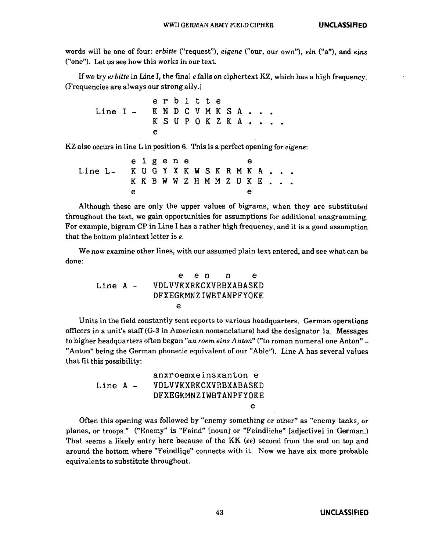words will be one of four: *erbitte* ("request"), *eigene* ("our, our own"), *ein* ("a"), and *eins*  ("one"). Let us see how this works in our text.

If we try *erbitte* in Line I, the fina] *e* fal1s on ciphertext KZ, which has a high frequency. (Frequencies are always our strong ally.)

e r b i t t e Line  $I - K N D C V M K S A$ . K S U P O K Z K A . . . . e

KZ also occurs in line L in position 6. This is a perfect opening for *eigene:* 

e i g e n e e Line L- K U G Y X K W S K R M K A . K K B W W Z H M M Z U K E . e e

Although these are only the upper values of bigrams, when they are substituted throughout the text, we gain opportunities for assumptions for additional anagramming. For example, bigram CP in Line I has a rather high frequency, and it is a good assumption that the bottom plain text letter is *e.* 

We now examine other lines, with our assumed plain text entered, and see what can be done:

Line A e e n n e VDLVVKXRKCXVRBXABASKD DFXEGKMNZIWBTANPFYOKE e

Units in the field constantly sent reports to various headquarters. German operations officers in a unit's staff (G-3 in American nomenclature) had the designator la. Messages to higher headquarters often began *"an roem eins Anton"* ("to roman numeral one Anton" - "Anton" being the German phonetic equivalent of our "Able"). Line A has several values that fit this possibility:

|            | anxroemxeinsxanton e  |
|------------|-----------------------|
| $Line A -$ | VDLVVKXRKCXVRBXABASKD |
|            | DFXEGKMNZIWBTANPFYOKE |
|            | е                     |

Often this opening was followed by "enemy something or other" as "enemy tanks, or planes, or troops." ("Enemy" is "Feind" [noun) or "Feindliche" [adjective] in German.) That seems a likely entry here because of the KK (ee) second from the end on top and around the bottom where "Feindliqe" connects with it. Now we have six more probable equivalents to substitute throughout.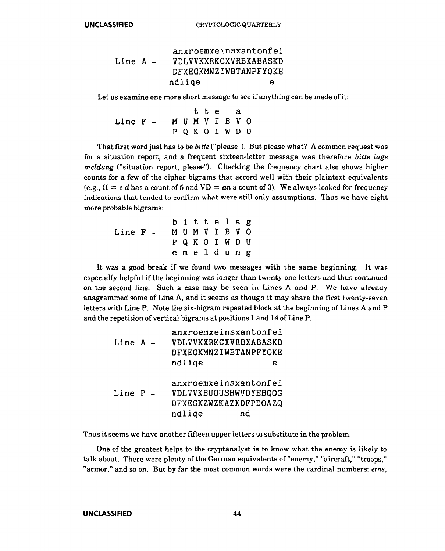Line A anxroemxeinsxantonf ei VDLVVKXRKCXVRBXABASKD DFXEGKMNZIWBTANPFYOKE ndliqe e

Let us examine one more short message to see if anything can be made of it:

Line F t t e a M U M V I B V 0 P Q K 0 I W D U

That first word just has to be *bitte* ("please"). But please what? A common request was for a situation report, and a frequent sixteen-letter message was therefore *bitte lage meldung* ("situation report, please"). Checking the frequency chart also shows higher counts for a few of the cipher bigrams that accord well with their plaintext equivalents (e.g.,  $H = e d$  has a count of 5 and VD =  $a n$  a count of 3). We always looked for frequency indications that tended to confirm what were still only assumptions. Thus we have eight more probable bigrams:

Line F - M U M V I B *V* 0 b i t t e 1 a g P Q K 0 I W D U e m e 1 d u n g

It was a good break if we found two messages with the same beginning. It was especially helpful if the beginning was longer than twenty-one letters and thus continued on the second line. Such a case may be seen in Lines A and P. We have already anagrammed some of Line A, and it seems as though it may share the first twenty-seven letters with Line P. Note the six-bigram repeated block at the beginning of Lines A and P and the repetition of vertical bigrams at positions 1and14 of Line P.

| Line $A -$ |  | anxroemxeinsxantonfei<br>VDLVVKXRKCXVRBXABASKD<br>DFXEGKMNZIWBTANPFYOKE |   |
|------------|--|-------------------------------------------------------------------------|---|
|            |  | ndlige                                                                  | е |
|            |  | anxroemxeinsxantonfei                                                   |   |
| Line $P -$ |  | VDLVVKBUOUSHWVDYEBQOG                                                   |   |
|            |  | DFXEGKZWZKAZXDFPDOAZQ                                                   |   |
|            |  | ndlige                                                                  |   |

Thus it seems we have another fifteen upper letters to substitute in the problem.

One of the greatest helps to the cryptanalyst is to know what the enemy is likely to talk about. There were plenty of the German equivalents of"enemy," "aircraft," "troops," "armor," and so on. But by far the most common words were the cardinal numbers: *eins,*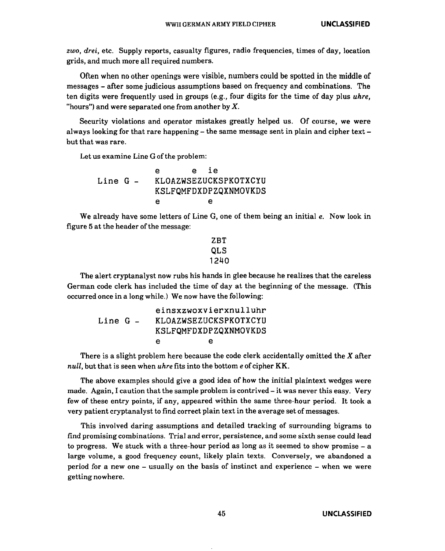*zwo, drei,* etc. Supply reports, casualty figures, radio frequencies, times of day, location grids, and much more all required numbers.

Often when no other openings were visible, numbers could be spotted in the middle of messages - after some judicious assumptions based on frequency and combinations. The ten digits were frequently used in groups (e.g., four digits for the time of day plus *uhre,*  "hours") and were separated one from another by  $X$ .

Security violations and operator mistakes greatly helped us. Of course, we were always looking for that rare happening  $-$  the same message sent in plain and cipher text  $$ but that was rare.

Let us examine Line G of the problem:

|          | е | e ie |                       |
|----------|---|------|-----------------------|
| Line G - |   |      | KLOAZWSEZUCKSPKOTXCYU |
|          |   |      | KSLFQMFDXDPZQXNMOVKDS |
|          | Α |      | е                     |

We already have some letters of Line G, one of them being an initial *e.* Now look in figure 5 at the header of the message:

```
ZBT 
QLS 
1240
```
The alert cryptanalyst now rubs his hands in glee because he realizes that the careless German code clerk has included the time of day at the beginning of the message. (This occurred once in a long while.) We now have the following:

| $Line G -$ |   | einsxzwoxvierxnulluhr<br>KLOAZWSEZUCKSPKOTXCYU<br>KSLFQMFDXDPZQXNMOVKDS |
|------------|---|-------------------------------------------------------------------------|
|            | e | е                                                                       |

There is a slight problem here because the code clerk accidentally omitted the *X* after *null,* but that is seen when *uhre* fits into the bottom *e* of cipher KK.

The above examples should give a good idea of how the initial plaintext wedges were made. Again, I caution that the sample problem is contrived- it was never this easy. Very few of these entry points, if any, appeared within the same three-hour period. It took a very patient cryptanalyst to find correct plain text in the average set of messages.

This involved daring assumptions and detailed tracking of surrounding bigrams to find promising combinations. Trial and error, persistence, and some sixth sense could lead to progress. We stuck with a three-hour period as long as it seemed to show promise - a large volume, a good frequency count, likely plain texts. Conversely, we abandoned a period for a new one - usually on the basis of instinct and experience - when we were getting nowhere.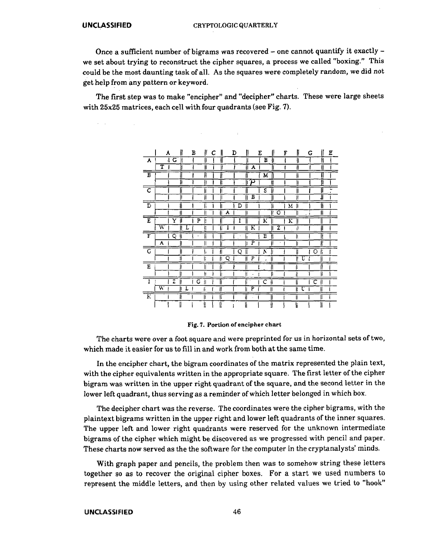$\Delta \sim 10^7$ 

 $\sim 10$ 

Once a sufficient number of bigrams was recovered  $-$  one cannot quantify it exactly  $$ we set about trying to reconstruct the cipher squares, a process we called "boxing." This could be the most daunting task of all. As the squares were completely random, we did not get help from any pattern or keyword.

The first step was to make "encipher" and "decipher" charts. These were large sheets with 25x25 matrices, each cell with four quadrants (see Fig. 7).

 $\sim 10$ 

 $\mathcal{A}^{\mathcal{A}}$ 

|                             | II<br>A  | H<br>В               | C | $\parallel$<br>D | II            | Ε      | íl<br>F            | IJ      | G      | Ε<br>II       |
|-----------------------------|----------|----------------------|---|------------------|---------------|--------|--------------------|---------|--------|---------------|
| A                           | G<br>4   | ₩                    |   |                  |               | В      | ł                  | ₩       |        | H             |
|                             | т        | ij                   |   | ll               | A             |        |                    | H       |        | łī            |
| $\overline{\mathbf{B}}$     |          |                      |   |                  |               | М      |                    |         |        |               |
|                             |          |                      |   | H                | دع            |        |                    |         |        | ħ             |
| C                           |          | ll                   |   |                  |               | s      |                    |         |        | .,<br>$\cdot$ |
|                             | II       | II                   |   |                  | Б             |        |                    |         |        | 1             |
| $\overline{D}$              |          | ï                    |   |                  | D             |        | М                  |         |        | li            |
|                             |          | Ĥ                    |   | A                |               | Īľ     | $\overline{\circ}$ | 11      | ı<br>٠ | ß             |
| E                           | Y        | P<br>ß               |   |                  | I             | К      | К                  |         |        |               |
|                             | W<br>B   | łi<br>L              |   | I<br>μ           | ĸ             |        | z                  | ı,      |        | II            |
| Ŧ                           | Q<br>k   | ÿ,<br>$\overline{a}$ |   | W                | ĥ<br>٠        | Е<br>Ñ |                    | ₩       |        | ll            |
|                             | А        | $\mathsf{II}$        |   |                  | F             | μ      | ٠                  | ∦       |        | Īi            |
| $\mathbf G$                 |          | h                    |   | I                | Q             | N      |                    |         | O      | ľí            |
|                             | 11       | ľí                   |   | Q<br>łi          | P<br>Ħ        | H<br>, |                    | 71<br>U |        | ll            |
| E                           |          |                      |   |                  | ł             | I      |                    | ľi      | ï      |               |
|                             | D        | 'n                   |   |                  | łì<br>$\cdot$ | B      |                    | lì      |        | W             |
|                             | z        | G<br>łI              |   |                  |               | C      |                    |         | c<br>∥ |               |
|                             | м.<br>ll | L<br>ł:              |   | ∥                | P<br>H        | H      |                    | τ<br>ľ  |        |               |
| $\overline{\text{\tiny K}}$ | lī       | H                    |   | Ħ                | ij            |        |                    | IJ      | II     |               |
|                             |          |                      |   | 1!               | H             | N      |                    | ľ       |        |               |

Fig. 7. Portion of encipher chart

The charts were over a foot square and were preprinted for us in horizontal sets of two, which made it easier for us to fill in and work from both at the same time.

In the encipher chart, the bigram coordinates of the matrix represented the plain text, with the cipher equivalents written in the appropriate square. The first letter of the cipher bigram was written in the upper right quadrant of the square, and the second letter in the lower left quadrant, thus serving as a reminder of which letter belonged in which box.

The decipher chart was the reverse. The coordinates were the cipher bigrams, with the plaintext bigrams written in the upper right and lower left quadrants of the inner squares. The upper left and lower right quadrants were reserved for the unknown intermediate bigrams of the cipher which might be discovered as we progressed with pencil and paper. These charts now served as the the software for the computer in the cryptanalysts' minds.

With graph paper and pencils, the problem then was to somehow string these letters together so as to recover the original cipher boxes. For a start we used numbers to represent the middle letters, and then by using other related values we tried to "hook"

# **UNCLASSIFIED** 46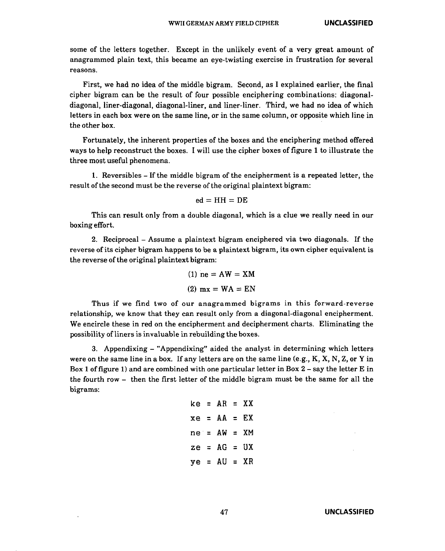some of the letters together. Except in the unlikely event of a very great amount of anagrammed plain text, this became an eye-twisting exercise in frustration for several reasons.

First, we had no idea of the middle bigram. Second, as I explained earlier, the final cipher bigram can be the result of four possible enciphering combinations: diagonaldiagonal, liner-diagonal, diagonal-liner, and liner-liner. Third, we had no idea of which letters in each box were on the same line, or in the same column, or opposite which line in the other box.

Fortunately, the inherent properties of the boxes and the enciphering method offered ways to help reconstruct the boxes. I will use the cipher boxes of figure 1 to illustrate the three most useful phenomena.

1. Reversibles - If the middle bigram of the encipherment is a repeated letter, the result of the second must be the reverse of the original plaintext bigram:

$$
ed = HH = DE
$$

This can result only from a double diagonal, which is a clue we really need in our boxing effort.

2. Reciprocal - Assume a plaintext bigram enciphered via two diagonals. If the reverse of its cipher bigram happens to be a plaintext bigram, its own cipher equivalent is the reverse of the original plaintext bigram:

(1) 
$$
ne = AW = XM
$$
  
(2)  $mx = WA = EN$ 

Thus if we find two of our anagrammed bigrams in this forward-reverse relationship, we know that they can result only from a diagonal-diagonal encipherment. We encircle these in red on the encipherment and decipherment charts. Eliminating the possibility of liners is invaluable in rebuilding the boxes.

3. Appendixing - "Appendixing" aided the analyst in determining which letters were on the same line in a box. If any letters are on the same line (e.g.,  $K$ ,  $K$ ,  $N$ ,  $Z$ , or  $Y$  in Box 1 of figure 1) and are combined with one particular letter in Box  $2 - say$  the letter E in the fourth row - then the first letter of the middle bigram must be the same for all the bigrams:

|  | $ke = AR = XX$ |  |
|--|----------------|--|
|  | $xe = AA = EX$ |  |
|  | $ne = AW = XM$ |  |
|  | $ze = AG = UX$ |  |
|  | $ye = AU = XR$ |  |
|  |                |  |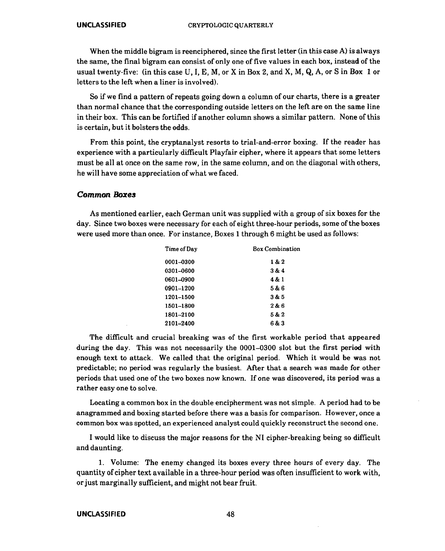When the middle bigram is reenciphered, since the first letter (in this case A) is always the same, the final bigram can consist of only one of five values in each box, instead of the usual twenty-five: (in this case  $U, I, E, M$ , or X in Box 2, and X, M, Q, A, or S in Box 1 or letters to the left when a liner is involved).

So if we find a pattern of repeats going down a column of our charts, there is a greater than normal chance that the corresponding outside letters on the left are on the same line in their box. This can be fortified if another column shows a similar pattern. None of this is certain, but it bolsters the odds.

From this point, the cryptanalyst resorts to trial-and-error boxing. If the reader has experience with a particularly difficult Playfair cipher, where it appears that some letters must be all at once on the same row, in the same column, and on the diagonal with others, he will have some appreciation of what we faced.

# **Common Boxe.s**

As mentioned earlier, each German unit was supplied with a group of six boxes for the day. Since two boxes were necessary for each of eight three-hour periods, some of the boxes were used more than once. For instance, Boxes 1 through 6 might be used as follows:

| Time of Day | <b>Box Combination</b> |
|-------------|------------------------|
| 0001-0300   | 1 & 2                  |
| 0301-0600   | 3&4                    |
| 0601–0900   | 4 & 1                  |
| 0901-1200   | 5 & 6                  |
| 1201-1500   | 3 & 5                  |
| 1501-1800   | 2 & 6                  |
| 1801-2100   | 5 & 2                  |
| 2101–2400   | 6&3                    |
|             |                        |

The difficult and crucial breaking was of the first workable period that appeared during the day. This was not necessarily the 0001-0300 slot but the first period with enough text to attack. We called that the original period. Which it would be was not predictable; no period was regularly the busiest. After that a search was made for other periods that used one of the two boxes now known. If one was discovered, its period was a rather easy one to solve.

Locating a common box in the double encipherment was not simple. A period had to be anagrammed and boxing started before there was a basis for comparison. However, once a common box was spotted, an experienced analyst could quickly reconstruct the second one.

I would like to discuss the major reasons for the NI cipher-breaking being so difficult and daunting.

1. Volume: The enemy changed its boxes every three hours of every day. The quantity of cipher text available in a three-hour period was often insufficient to work with, or just marginally sufficient, and might not bear fruit.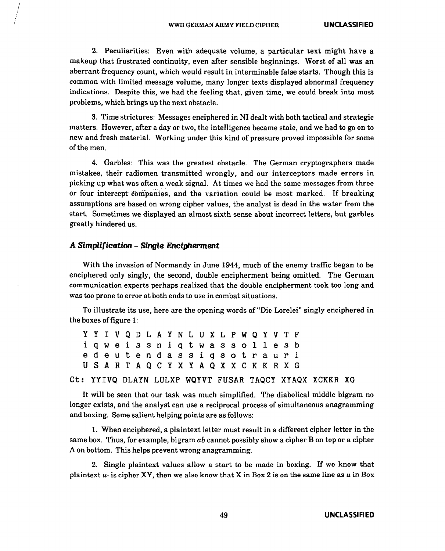2. Peculiarities: Even with adequate volume, a particular text might have a makeup that frustrated continuity, even after sensible beginnings. Worst of all was an aberrant frequency count, which would result in interminable false starts. Though this is common with limited message volume, many longer texts displayed abnormal frequency indications. Despite this, we had the feeling that, given time, we could break into most problems, which brings up the next obstacle.

3. Time strictures: Messages enciphered in NI dealt with both tactical and strategic matters. However, after a day or two, the intelligence became stale, and we had to go on to new and fresh material. Working under this kind of pressure proved impossible for some ofthemen.

4. Garbles: This was the greatest obstacle. The German cryptographers made mistakes, their radiomen transmitted wrongly, and our interceptors made errors in picking up what was often a weak signal. At times we had the same messages from three or four intercept companies, and the variation could be most marked. If breaking assumptions are based on wrong cipher values, the analyst is dead in the water from the start. Sometimes we displayed an almost sixth sense about incorrect letters, but garbles greatly hindered us.

### **A Simplification - Single Encipherment**

With the invasion of Normandy in June 1944, much of the enemy traffic began to be enciphered only singly, the second, double encipherment being omitted. The German communication experts perhaps realized that the double encipherment took too long and was too prone to error at both ends to use in combat situations.

To illustrate its use, here are the opening words of "Die Lorelei" singly enciphered in the boxes of figure 1:

y y I v Q D L A y N L u x L p w Q y v T F i q w e i s s n i q t w a s s 0 1 1 e s b e d e u t e n d a s s i q s 0 t r a u r i U S A R T A Q C Y X Y A Q X X C K K R X G

Ct: YYIVQ DLAYN LULXP WQYVT FUSAR TAQCY XYAQX XCKKR XG

It will be seen that our task was much simplified. The diabolical middle bigram no longer exists, and the analyst can use a reciprocal process of simultaneous anagramming and boxing. Some salient helping points are as follows:

1. When enciphered, a plaintext letter must result in a different cipher letter in the same box. Thus, for example, bigram *ab* cannot possibly show a cipher Bon top or a cipher A on bottom. This helps prevent wrong anagramming.

2. Single plaintext values allow a start to be made in boxing. If we know that plaintext  $u$ - is cipher XY, then we also know that X in Box 2 is on the same line as  $u$  in Box